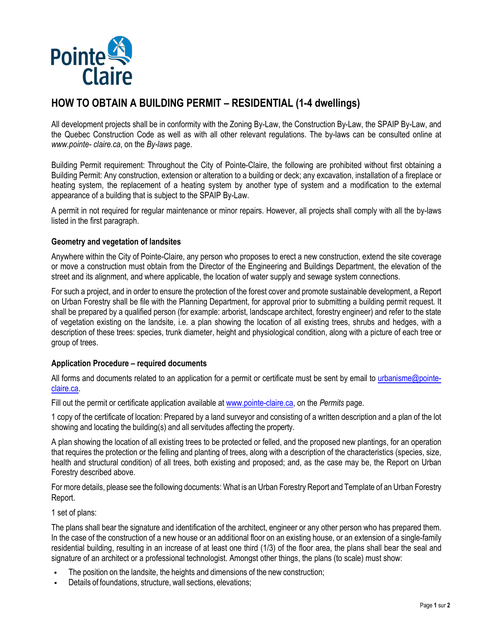

# **HOW TO OBTAIN A BUILDING PERMIT – RESIDENTIAL (1-4 dwellings)**

All development projects shall be in conformity with the Zoning By-Law, the Construction By-Law, the SPAIP By-Law, and the Quebec Construction Code as well as with all other relevant regulations. The by-laws can be consulted online at *www.pointe- claire.ca*, on the *By-laws* page.

Building Permit requirement: Throughout the City of Pointe-Claire, the following are prohibited without first obtaining a Building Permit: Any construction, extension or alteration to a building or deck; any excavation, installation of a fireplace or heating system, the replacement of a heating system by another type of system and a modification to the external appearance of a building that is subject to the SPAIP By-Law.

A permit in not required for regular maintenance or minor repairs. However, all projects shall comply with all the by-laws listed in the first paragraph.

## **Geometry and vegetation of landsites**

Anywhere within the City of Pointe-Claire, any person who proposes to erect a new construction, extend the site coverage or move a construction must obtain from the Director of the Engineering and Buildings Department, the elevation of the street and its alignment, and where applicable, the location of water supply and sewage system connections.

For such a project, and in order to ensure the protection of the forest cover and promote sustainable development, a Report on Urban Forestry shall be file with the Planning Department, for approval prior to submitting a building permit request. It shall be prepared by a qualified person (for example: arborist, landscape architect, forestry engineer) and refer to the state of vegetation existing on the landsite, i.e. a plan showing the location of all existing trees, shrubs and hedges, with a description of these trees: species, trunk diameter, height and physiological condition, along with a picture of each tree or group of trees.

## **Application Procedure – required documents**

All forms and documents related to an application for a permit or certificate must be sent by email to urbanisme@pointeclaire.ca.

Fill out the permit or certificate application available at www.pointe-claire.ca, on the *Permits* page.

1 copy of the certificate of location: Prepared by a land surveyor and consisting of a written description and a plan of the lot showing and locating the building(s) and all servitudes affecting the property.

A plan showing the location of all existing trees to be protected or felled, and the proposed new plantings, for an operation that requires the protection or the felling and planting of trees, along with a description of the characteristics (species, size, health and structural condition) of all trees, both existing and proposed; and, as the case may be, the Report on Urban Forestry described above.

For more details, please see the following documents: What is an Urban Forestry Report and Template of an Urban Forestry Report.

1 set of plans:

The plans shall bear the signature and identification of the architect, engineer or any other person who has prepared them. In the case of the construction of a new house or an additional floor on an existing house, or an extension of a single-family residential building, resulting in an increase of at least one third (1/3) of the floor area, the plans shall bear the seal and signature of an architect or a professional technologist. Amongst other things, the plans (to scale) must show:

- The position on the landsite, the heights and dimensions of the new construction;
- Details of foundations, structure, wall sections, elevations;